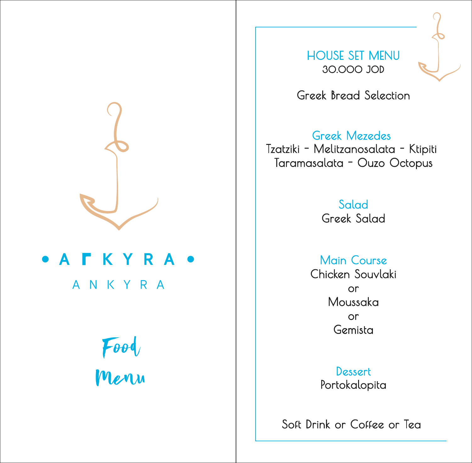

#### **• A F K Y R A** ANKYRA

# Food Menu

HOUSE SET MENU 30.000 JOD

Greek Bread Selection

#### Greek Mezedes

Tzatziki - Melitzanosalata - Ktipiti Taramasalata - Ouzo Octopus

> Salad Greek Salad

Main Course Chicken Souvlaki or Moussaka or Gemista

> **Dessert** Portokalopita

Soft Drink or Coffee or Tea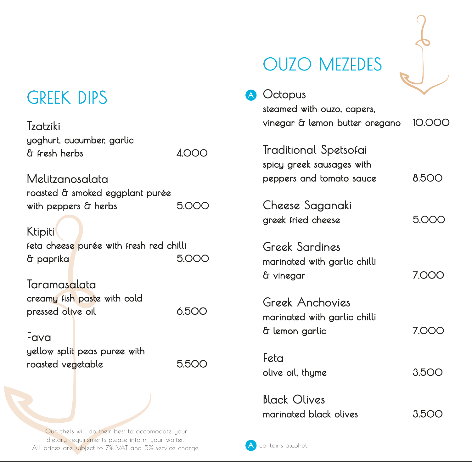### GREEK DIPS

Tzatziki yoghurt, cucumber, garlic & fresh herbs 4.000

A

Melitzanosalata roasted & smoked eggplant purée with peppers & herbs 5.000

Ktipiti feta cheese purée with fresh red chilli & paprika 5.000

**Taramasalata** creamy fish paste with cold pressed olive oil 6.500

Fava yellow split peas puree with roasted vegetable 6.500

Our chefs will do their best to accomodate your dietary requirements please inform your waiter. All prices are subject to 7% VAT and 5% service charge

## OUZO MEZEDES

| Octopus                                                                        |              |
|--------------------------------------------------------------------------------|--------------|
| steamed with ouzo, capers,<br>vinegar & lemon butter oregano                   | <b>10.00</b> |
| Traditional Spetsofai<br>spicy greek sausages with<br>peppers and tomato sauce | 8.500        |
| Cheese Saganaki<br>greek fried cheese                                          | 5.000        |
| Greek Sardines<br>marinated with garlic chilli<br>å vinegar                    | 7.000        |
| Greek Anchovies<br>marinated with garlic chilli<br>& lemon garlic              | <b>7.00</b>  |
| Feta<br>olive oil, thyme                                                       | 3.500        |
| <b>Black Olives</b><br>marinated black olives                                  | 3.50         |

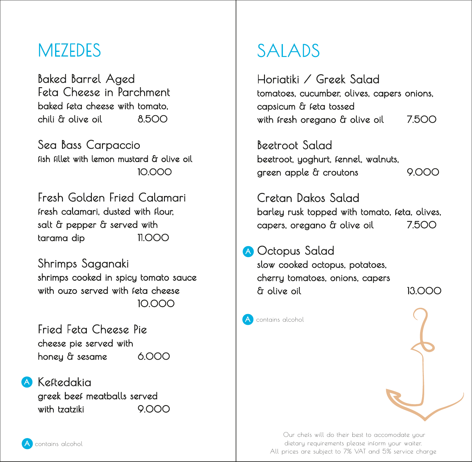#### **MEZEDES**

Baked Barrel Aged Feta Cheese in Parchment baked feta cheese with tomato, chili & olive oil 8.500

Sea Bass Carpaccio fish fillet with lemon mustard & olive oil 10.000

Fresh Golden Fried Calamari fresh calamari, dusted with flour, salt & pepper & served with tarama dip 11.000

Shrimps Saganaki shrimps cooked in spicy tomato sauce with ouzo served with feta cheese 10.000

Fried Feta Cheese Pie cheese pie served with honey & sesame 6.000

**A** Keftedakia greek beef meatballs served with tzatziki 9.000

## SALADS

Horiatiki / Greek Salad tomatoes, cucumber, olives, capers onions, capsicum & feta tossed with fresh oregano & olive oil 7.500

Beetroot Salad beetroot, yoghurt, fennel, walnuts, green apple & croutons 9.000

Cretan Dakos Salad barley rusk topped with tomato, feta, olives, capers, oregano & olive oil 7.500

A Octopus Salad slow cooked octopus, potatoes, cherry tomatoes, onions, capers & olive oil 13.000

contains alcohol



Our chefs will do their best to accomodate your dietary requirements please inform your waiter. All prices are subject to 7% VAT and 5% service charge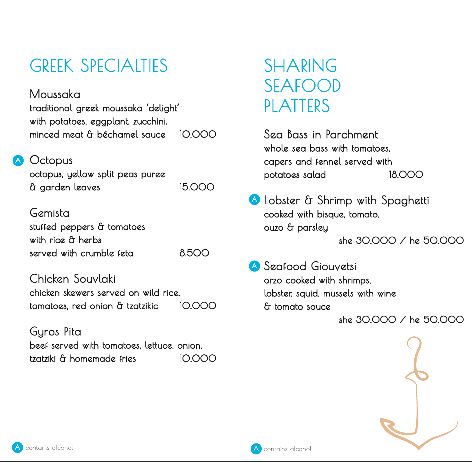## GREEK SPECIALTIES

#### Moussaka

traditional greek moussaka 'delight' with potatoes, eggplant, zucchini, minced meat & béchamel sauce 10.000

**A** Octopus

octopus, yellow split peas puree & garden leaves 15.000

Gemista stuffed peppers & tomatoes with rice & herbs served with crumble feta 6.500

Chicken Souvlaki chicken skewers served on wild rice, tomatoes, red onion & tzatzikic 10.000

Gyros Pita beef served with tomatoes, lettuce, onion, tzatziki & homemade fries 10.000

### SHARING SEAFOOD PLATTERS

Sea Bass in Parchment whole sea bass with tomatoes. capers and fennel served with potatoes salad 18.000

A Lobster & Shrimp with Spaghetti cooked with bisque, tomato, ouzo & parsley she 30.000 / he 50.000

Seafood Giouvetsi A orzo cooked with shrimps, lobster, squid, mussels with wine & tomato sauce

she 30.000 / he 50.000



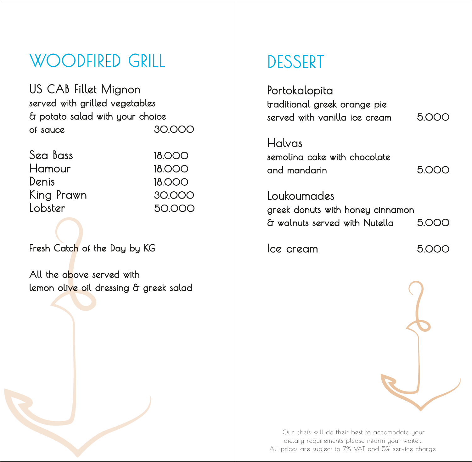### WOODFIRED GRILL

US CAB Fillet Mignon served with grilled vegetables & potato salad with your choice of sauce 30.000

| Sea Bass   | <b>18.000</b> |
|------------|---------------|
| Hamour     | <b>18,000</b> |
| Denis      | <b>18.000</b> |
| King Prawn | 30.000        |
| Lobster    | 50.000        |
|            |               |

Fresh Catch of the Day by KG

All the above served with lemon olive oil dressing & greek salad

#### DESSERT

Portokalopita traditional greek orange pie served with vanilla ice cream 5.000 Halvas semolina cake with chocolate and mandarin 5.000 Loukoumades greek donuts with honey cinnamon & walnuts served with Nutella 5.000 Ice cream 5.000

Our chefs will do their best to accomodate your dietary requirements please inform your waiter. All prices are subject to 7% VAT and 5% service charge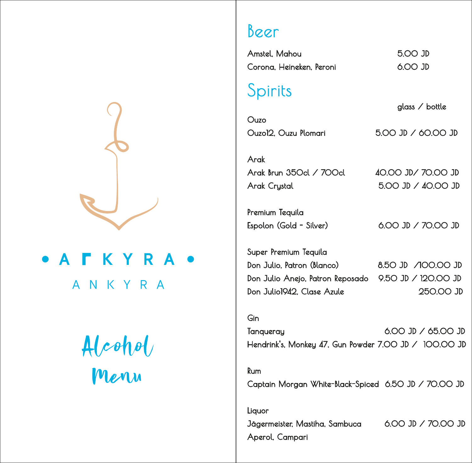

## **TKYRA** ANKYRA

# Alcohol Menu

#### Beer

Amstel, Mahou 5.00 JD Corona, Heineken, Peroni 6.00 JD

#### Spirits

 glass / bottle Ouzo Ouzo12, Ouzu Plomari 5.00 JD / 60.00 JD

Arak Arak Brun 350cl / 700cl 40.00 JD/ 70.00 JD Arak Crystal 5.00 JD / 40.00 JD

Premium Tequila Espolon (Gold - Silver) 6.00 JD / 70.00 JD

Super Premium Tequila Don Julio, Patron (Blanco) 8.50 JD /100.00 JD Don Julio Anejo, Patron Reposado 9.50 JD / 120.00 JD Don Julio1942, Clase Azule 250.00 JD

#### Gin

Tanqueray 6.00 JD / 65.00 JD Hendrink's, Monkey 47, Gun Powder 7.00 JD / 100.00 JD

Rum Captain Morgan White-Black-Spiced 6.50 JD / 70.00 JD

Liquor Jägermeister, Mastiha, Sambuca 6.00 JD / 70.00 JD Aperol, Campari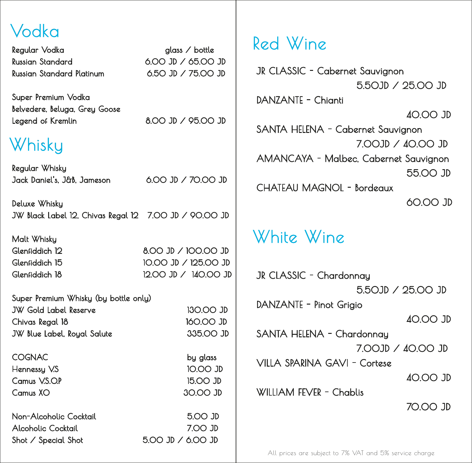| Vodka                                                                  |                              |                      |
|------------------------------------------------------------------------|------------------------------|----------------------|
| Regular Vodka                                                          | glass $\angle$ bottle        | Red Wine             |
| <b>Russian Standard</b>                                                | $6.00$ JD $/$ 65.00 JD       | JR CLASSIC - Cc      |
| <b>Russian Standard Platinum</b>                                       | 6.50 JD / 75.00 JD           |                      |
| Super Premium Vodka<br>Belvedere, Beluga, Grey Goose                   |                              | DANZANTE - Chi       |
| Legend of Kremlin                                                      | 8.00 JD / 95.00 JD           | SANTA HELENA         |
| Whisky                                                                 |                              | <b>AMANCAYA - I</b>  |
| Regular Whisky                                                         |                              |                      |
| Jack Daniel's, J&B, Jameson                                            | 6.00 JD / 70.00 JD           | <b>CHATEAU MAGI</b>  |
| Deluxe Whisky<br>JW Black Label 12, Chivas Regal 12 7.00 JD / 90.00 JD |                              |                      |
| Malt Whisky                                                            |                              | White Wi             |
| Glenfiddich 12                                                         | 8.00 JD / 100.00 JD          |                      |
| Glenfiddich 15                                                         | 10.00 JD / 125.00 JD         |                      |
| Glenfiddich 18                                                         | 12.00 JD / 140.00 JD         | JR CLASSIC - CH      |
| Super Premium Whisky (by bottle only)                                  |                              | DANZANTE - Pino      |
| <b>JW Gold Label Reserve</b><br>Chivas Regal 18                        | 130.00 JD<br>160.00 JD       |                      |
| JW Blue Label, Royal Salute                                            | 335.00 JD                    | SANTA HELENA         |
| <b>COGNAC</b>                                                          | by glass                     | <b>VILLA SPARINA</b> |
| Hennessy V.S<br>Camus V.S.O.P                                          | 10.00 JD<br>15.00 JD         |                      |
| Camus XO                                                               | 30.00 JD                     | WILLIAM FEVER -      |
| Non-Alcoholic Cocktail                                                 | 5.00 JD                      |                      |
| <b>Alcoholic Cocktail</b><br>Shot / Special Shot                       | 7.OO JD<br>5.00 JD / 6.00 JD |                      |
|                                                                        |                              |                      |

White Wine JR CLASSIC - Cabernet Sauvignon 5.50JD / 25.00 JD DANZANTE - Chianti 40.00 JD SANTA HELENA - Cabernet Sauvignon 7.00JD / 40.00 JD AMANCAYA - Malbec, Cabernet Sauvignon 55.00 JD CHATEAU MAGNOL - Bordeaux 60.00 JD JR CLASSIC - Chardonnay 5.50JD / 25.00 JD DANZANTE - Pinot Grigio 40.00 JD SANTA HELENA - Chardonnay 7.00JD / 40.00 JD VILLA SPARINA GAVI - Cortese 40.00 JD WILLIAM FEVER - Chablis 70.00 JD

All prices are subject to 7% VAT and 5% service charge